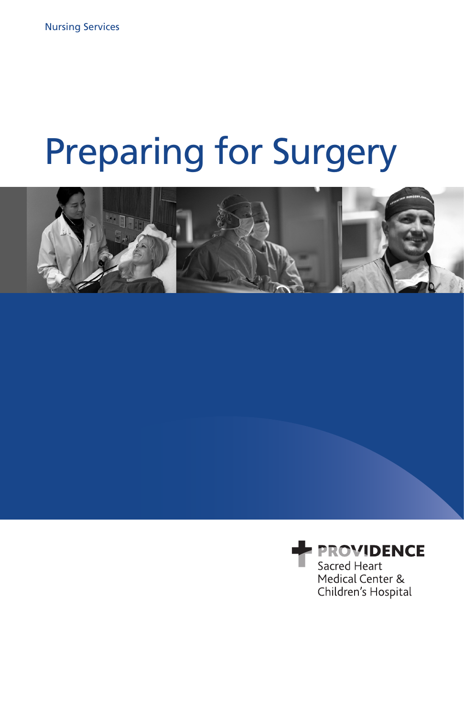# Preparing for Surgery



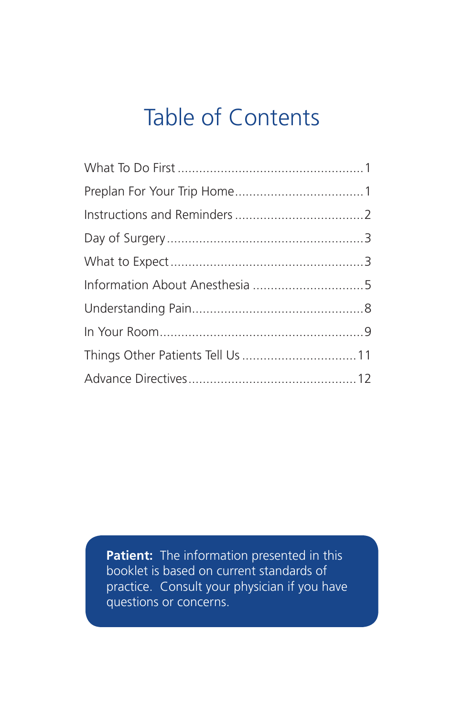# Table of Contents

| Things Other Patients Tell Us  11 |  |
|-----------------------------------|--|
|                                   |  |

**Patient:** The information presented in this booklet is based on current standards of practice. Consult your physician if you have questions or concerns.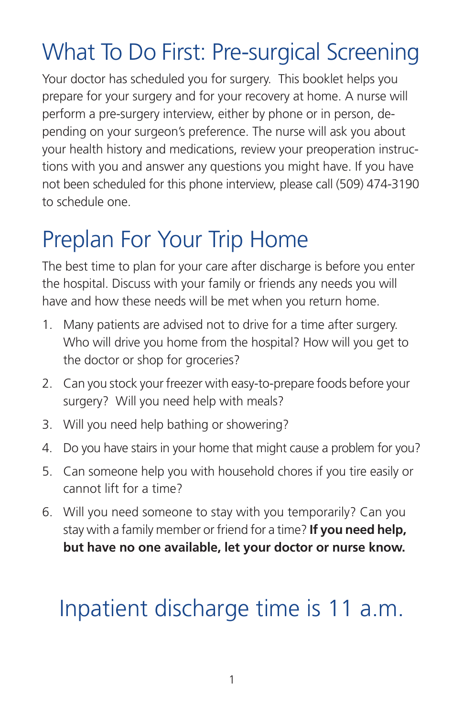# What To Do First: Pre-surgical Screening

Your doctor has scheduled you for surgery. This booklet helps you prepare for your surgery and for your recovery at home. A nurse will perform a pre-surgery interview, either by phone or in person, depending on your surgeon's preference. The nurse will ask you about your health history and medications, review your preoperation instructions with you and answer any questions you might have. If you have not been scheduled for this phone interview, please call (509) 474-3190 to schedule one.

# Preplan For Your Trip Home

The best time to plan for your care after discharge is before you enter the hospital. Discuss with your family or friends any needs you will have and how these needs will be met when you return home.

- 1. Many patients are advised not to drive for a time after surgery. Who will drive you home from the hospital? How will you get to the doctor or shop for groceries?
- 2. Can you stock your freezer with easy-to-prepare foods before your surgery? Will you need help with meals?
- 3. Will you need help bathing or showering?
- 4. Do you have stairs in your home that might cause a problem for you?
- 5. Can someone help you with household chores if you tire easily or cannot lift for a time?
- 6. Will you need someone to stay with you temporarily? Can you stay with a family member or friend for a time? **If you need help, but have no one available, let your doctor or nurse know.**

# Inpatient discharge time is 11 a.m.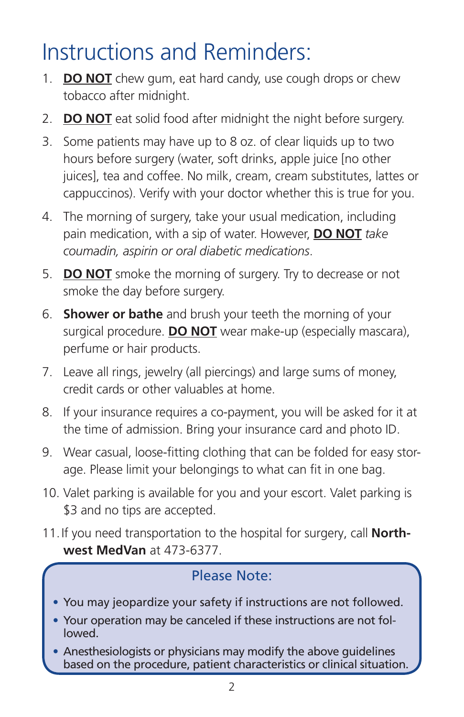# Instructions and Reminders:

- 1. **DO NOT** chew gum, eat hard candy, use cough drops or chew tobacco after midnight.
- 2. **DO NOT** eat solid food after midnight the night before surgery.
- 3. Some patients may have up to 8 oz. of clear liquids up to two hours before surgery (water, soft drinks, apple juice [no other juices], tea and coffee. No milk, cream, cream substitutes, lattes or cappuccinos). Verify with your doctor whether this is true for you.
- 4. The morning of surgery, take your usual medication, including pain medication, with a sip of water. However, **DO NOT** *take coumadin, aspirin or oral diabetic medications*.
- 5. **DO NOT** smoke the morning of surgery. Try to decrease or not smoke the day before surgery.
- 6. **Shower or bathe** and brush your teeth the morning of your surgical procedure. **DO NOT** wear make-up (especially mascara), perfume or hair products.
- 7. Leave all rings, jewelry (all piercings) and large sums of money, credit cards or other valuables at home.
- 8. If your insurance requires a co-payment, you will be asked for it at the time of admission. Bring your insurance card and photo ID.
- 9. Wear casual, loose-fitting clothing that can be folded for easy storage. Please limit your belongings to what can fit in one bag.
- 10. Valet parking is available for you and your escort. Valet parking is \$3 and no tips are accepted.
- 11.If you need transportation to the hospital for surgery, call **Northwest MedVan** at 473-6377.

### Please Note:

- You may jeopardize your safety if instructions are not followed.
- Your operation may be canceled if these instructions are not followed.
- Anesthesiologists or physicians may modify the above guidelines based on the procedure, patient characteristics or clinical situation.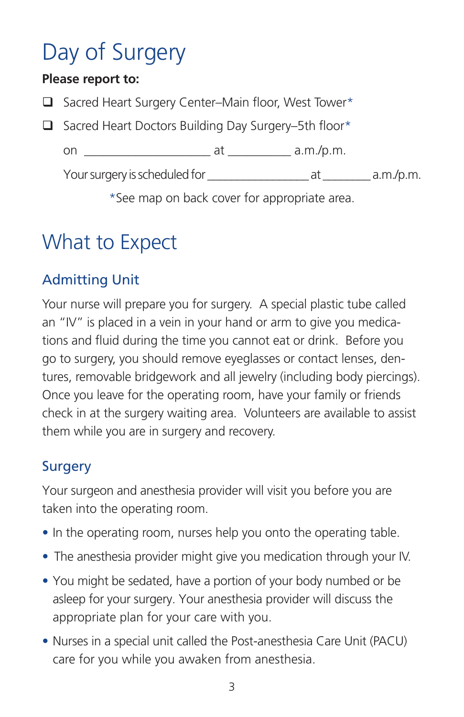# Day of Surgery

### **Please report to:**

 $\Box$  Sacred Heart Surgery Center–Main floor, West Tower\*

 $\Box$  Sacred Heart Doctors Building Day Surgery–5th floor\*

on \_\_\_\_\_\_\_\_\_\_\_\_\_\_\_\_\_\_\_\_ at \_\_\_\_\_\_\_\_\_\_ a.m./p.m.

Your surgery is scheduled for \_\_\_\_\_\_\_\_\_\_\_\_\_\_\_\_\_ at \_\_\_\_\_\_\_\_ a.m./p.m.

\*See map on back cover for appropriate area.

## What to Expect

### Admitting Unit

Your nurse will prepare you for surgery. A special plastic tube called an "IV" is placed in a vein in your hand or arm to give you medications and fluid during the time you cannot eat or drink. Before you go to surgery, you should remove eyeglasses or contact lenses, dentures, removable bridgework and all jewelry (including body piercings). Once you leave for the operating room, have your family or friends check in at the surgery waiting area. Volunteers are available to assist them while you are in surgery and recovery.

### **Surgery**

Your surgeon and anesthesia provider will visit you before you are taken into the operating room.

- In the operating room, nurses help you onto the operating table.
- The anesthesia provider might give you medication through your IV.
- You might be sedated, have a portion of your body numbed or be asleep for your surgery. Your anesthesia provider will discuss the appropriate plan for your care with you.
- Nurses in a special unit called the Post-anesthesia Care Unit (PACU) care for you while you awaken from anesthesia.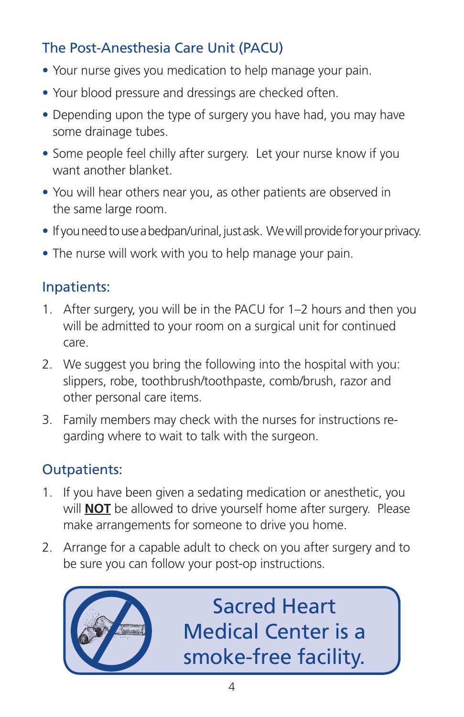### The Post-Anesthesia Care Unit (PACU)

- Your nurse gives you medication to help manage your pain.
- Your blood pressure and dressings are checked often.
- Depending upon the type of surgery you have had, you may have some drainage tubes.
- Some people feel chilly after surgery. Let your nurse know if you want another blanket.
- You will hear others near you, as other patients are observed in the same large room.
- If you need to use a bedpan/urinal, just ask. We will provide for your privacy.
- The nurse will work with you to help manage your pain.

### Inpatients:

- 1. After surgery, you will be in the PACU for 1–2 hours and then you will be admitted to your room on a surgical unit for continued care.
- 2. We suggest you bring the following into the hospital with you: slippers, robe, toothbrush/toothpaste, comb/brush, razor and other personal care items.
- 3. Family members may check with the nurses for instructions regarding where to wait to talk with the surgeon.

### Outpatients:

- 1. If you have been given a sedating medication or anesthetic, you will **NOT** be allowed to drive yourself home after surgery. Please make arrangements for someone to drive you home.
- 2. Arrange for a capable adult to check on you after surgery and to be sure you can follow your post-op instructions.



Sacred Heart Medical Center is a smoke-free facility.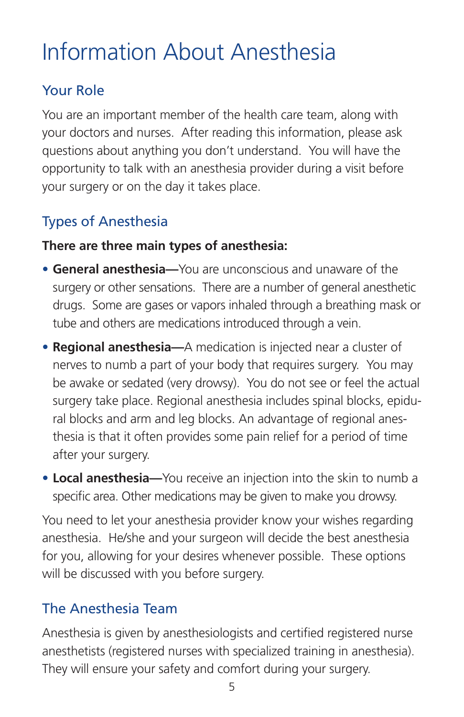# Information About Anesthesia

### Your Role

You are an important member of the health care team, along with your doctors and nurses. After reading this information, please ask questions about anything you don't understand. You will have the opportunity to talk with an anesthesia provider during a visit before your surgery or on the day it takes place.

### Types of Anesthesia

### **There are three main types of anesthesia:**

- **General anesthesia—**You are unconscious and unaware of the surgery or other sensations. There are a number of general anesthetic drugs. Some are gases or vapors inhaled through a breathing mask or tube and others are medications introduced through a vein.
- **• Regional anesthesia—**A medication is injected near a cluster of nerves to numb a part of your body that requires surgery. You may be awake or sedated (very drowsy). You do not see or feel the actual surgery take place. Regional anesthesia includes spinal blocks, epidural blocks and arm and leg blocks. An advantage of regional anesthesia is that it often provides some pain relief for a period of time after your surgery.
- **• Local anesthesia—**You receive an injection into the skin to numb a specific area. Other medications may be given to make you drowsy.

You need to let your anesthesia provider know your wishes regarding anesthesia. He/she and your surgeon will decide the best anesthesia for you, allowing for your desires whenever possible. These options will be discussed with you before surgery.

### The Anesthesia Team

Anesthesia is given by anesthesiologists and certified registered nurse anesthetists (registered nurses with specialized training in anesthesia). They will ensure your safety and comfort during your surgery.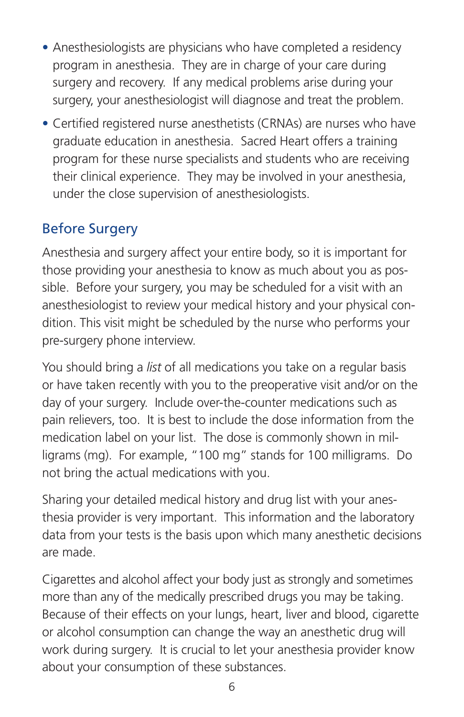- Anesthesiologists are physicians who have completed a residency program in anesthesia. They are in charge of your care during surgery and recovery. If any medical problems arise during your surgery, your anesthesiologist will diagnose and treat the problem.
- Certified registered nurse anesthetists (CRNAs) are nurses who have graduate education in anesthesia. Sacred Heart offers a training program for these nurse specialists and students who are receiving their clinical experience. They may be involved in your anesthesia, under the close supervision of anesthesiologists.

### Before Surgery

Anesthesia and surgery affect your entire body, so it is important for those providing your anesthesia to know as much about you as possible. Before your surgery, you may be scheduled for a visit with an anesthesiologist to review your medical history and your physical condition. This visit might be scheduled by the nurse who performs your pre-surgery phone interview.

You should bring a *list* of all medications you take on a regular basis or have taken recently with you to the preoperative visit and/or on the day of your surgery. Include over-the-counter medications such as pain relievers, too. It is best to include the dose information from the medication label on your list. The dose is commonly shown in milligrams (mg). For example, "100 mg" stands for 100 milligrams. Do not bring the actual medications with you.

Sharing your detailed medical history and drug list with your anesthesia provider is very important. This information and the laboratory data from your tests is the basis upon which many anesthetic decisions are made.

Cigarettes and alcohol affect your body just as strongly and sometimes more than any of the medically prescribed drugs you may be taking. Because of their effects on your lungs, heart, liver and blood, cigarette or alcohol consumption can change the way an anesthetic drug will work during surgery. It is crucial to let your anesthesia provider know about your consumption of these substances.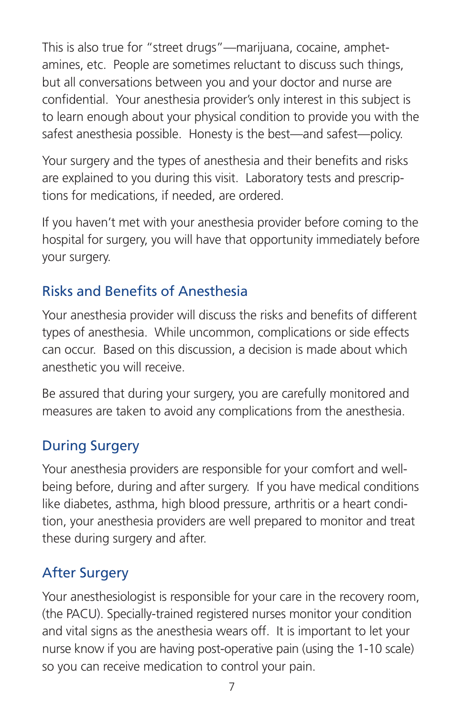This is also true for "street drugs"—marijuana, cocaine, amphetamines, etc. People are sometimes reluctant to discuss such things, but all conversations between you and your doctor and nurse are confidential. Your anesthesia provider's only interest in this subject is to learn enough about your physical condition to provide you with the safest anesthesia possible. Honesty is the best—and safest—policy.

Your surgery and the types of anesthesia and their benefits and risks are explained to you during this visit. Laboratory tests and prescriptions for medications, if needed, are ordered.

If you haven't met with your anesthesia provider before coming to the hospital for surgery, you will have that opportunity immediately before your surgery.

### Risks and Benefits of Anesthesia

Your anesthesia provider will discuss the risks and benefits of different types of anesthesia. While uncommon, complications or side effects can occur. Based on this discussion, a decision is made about which anesthetic you will receive.

Be assured that during your surgery, you are carefully monitored and measures are taken to avoid any complications from the anesthesia.

### During Surgery

Your anesthesia providers are responsible for your comfort and wellbeing before, during and after surgery. If you have medical conditions like diabetes, asthma, high blood pressure, arthritis or a heart condition, your anesthesia providers are well prepared to monitor and treat these during surgery and after.

### After Surgery

Your anesthesiologist is responsible for your care in the recovery room, (the PACU). Specially-trained registered nurses monitor your condition and vital signs as the anesthesia wears off. It is important to let your nurse know if you are having post-operative pain (using the 1-10 scale) so you can receive medication to control your pain.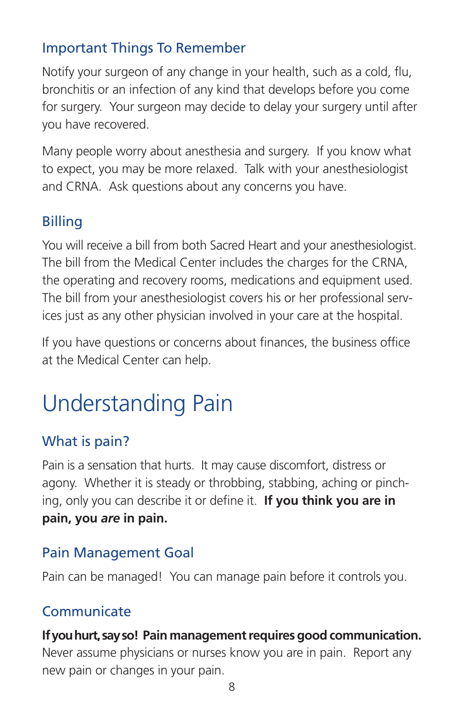### Important Things To Remember

Notify your surgeon of any change in your health, such as a cold, flu, bronchitis or an infection of any kind that develops before you come for surgery. Your surgeon may decide to delay your surgery until after you have recovered.

Many people worry about anesthesia and surgery. If you know what to expect, you may be more relaxed. Talk with your anesthesiologist and CRNA. Ask questions about any concerns you have.

### Billing

You will receive a bill from both Sacred Heart and your anesthesiologist. The bill from the Medical Center includes the charges for the CRNA, the operating and recovery rooms, medications and equipment used. The bill from your anesthesiologist covers his or her professional services just as any other physician involved in your care at the hospital.

If you have questions or concerns about finances, the business office at the Medical Center can help.

# Understanding Pain

### What is pain?

Pain is a sensation that hurts. It may cause discomfort, distress or agony. Whether it is steady or throbbing, stabbing, aching or pinching, only you can describe it or define it. **If you think you are in pain, you** *are* **in pain.**

### Pain Management Goal

Pain can be managed! You can manage pain before it controls you.

### **Communicate**

### **If you hurt, say so! Pain management requires good communication.**

Never assume physicians or nurses know you are in pain.Report any new pain or changes in your pain.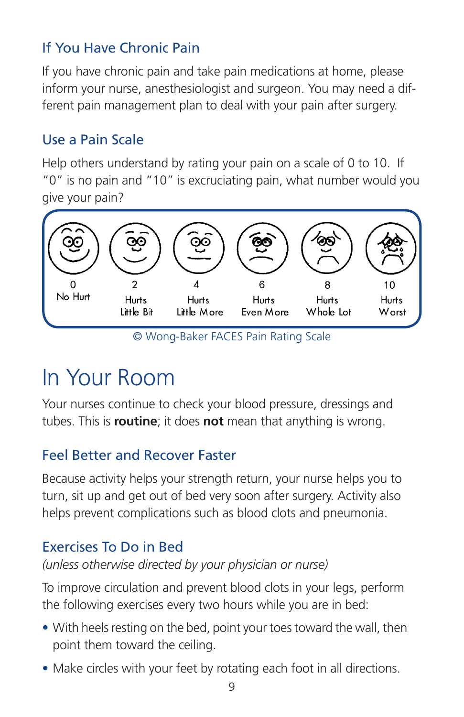### If You Have Chronic Pain

If you have chronic pain and take pain medications at home, please inform your nurse, anesthesiologist and surgeon. You may need a different pain management plan to deal with your pain after surgery.

### Use a Pain Scale

Help others understand by rating your pain on a scale of 0 to 10. If "0" is no pain and "10" is excruciating pain, what number would you give your pain?



© Wong-Baker FACES Pain Rating Scale

# In Your Room

Your nurses continue to check your blood pressure, dressings and tubes. This is **routine**; it does **not** mean that anything is wrong.

### Feel Better and Recover Faster

Because activity helps your strength return, your nurse helps you to turn, sit up and get out of bed very soon after surgery. Activity also helps prevent complications such as blood clots and pneumonia.

### Exercises To Do in Bed

### *(unless otherwise directed by your physician or nurse)*

To improve circulation and prevent blood clots in your legs, perform the following exercises every two hours while you are in bed:

- With heels resting on the bed, point your toes toward the wall, then point them toward the ceiling.
- Make circles with your feet by rotating each foot in all directions.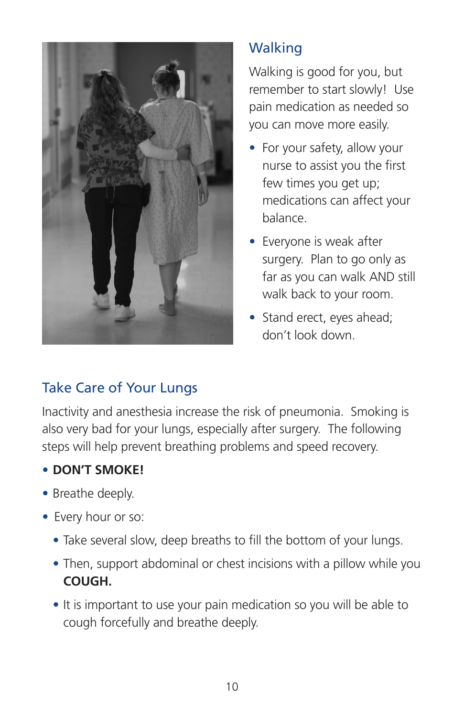

### **Walking**

Walking is good for you, but remember to start slowly! Use pain medication as needed so you can move more easily.

- For your safety, allow your nurse to assist you the first few times you get up; medications can affect your balance.
- Everyone is weak after surgery. Plan to go only as far as you can walk AND still walk back to your room.
- Stand erect, eyes ahead; don't look down.

### Take Care of Your Lungs

Inactivity and anesthesia increase the risk of pneumonia. Smoking is also very bad for your lungs, especially after surgery. The following steps will help prevent breathing problems and speed recovery.

### • **DON'T SMOKE!**

- Breathe deeply.
- Every hour or so:
	- Take several slow, deep breaths to fill the bottom of your lungs.
	- Then, support abdominal or chest incisions with a pillow while you **COUGH.**
	- It is important to use your pain medication so you will be able to cough forcefully and breathe deeply.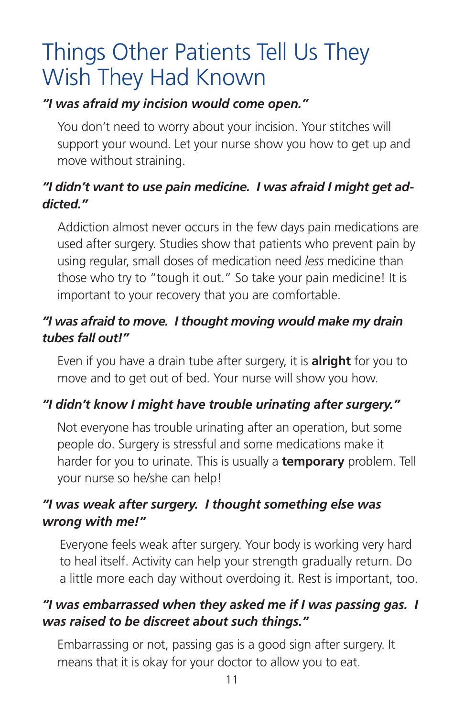# Things Other Patients Tell Us They Wish They Had Known

### *"I was afraid my incision would come open."*

You don't need to worry about your incision. Your stitches will support your wound. Let your nurse show you how to get up and move without straining.

### *"I didn't want to use pain medicine. I was afraid I might get addicted."*

Addiction almost never occurs in the few days pain medications are used after surgery. Studies show that patients who prevent pain by using regular, small doses of medication need *less* medicine than those who try to "tough it out." So take your pain medicine! It is important to your recovery that you are comfortable.

### *"I was afraid to move. I thought moving would make my drain tubes fall out!"*

Even if you have a drain tube after surgery, it is **alright** for you to move and to get out of bed. Your nurse will show you how.

### *"I didn't know I might have trouble urinating after surgery."*

Not everyone has trouble urinating after an operation, but some people do. Surgery is stressful and some medications make it harder for you to urinate. This is usually a **temporary** problem. Tell your nurse so he/she can help!

### *"I was weak after surgery. I thought something else was wrong with me!"*

Everyone feels weak after surgery. Your body is working very hard to heal itself. Activity can help your strength gradually return. Do a little more each day without overdoing it. Rest is important, too.

### *"I was embarrassed when they asked me if I was passing gas. I was raised to be discreet about such things."*

Embarrassing or not, passing gas is a good sign after surgery. It means that it is okay for your doctor to allow you to eat.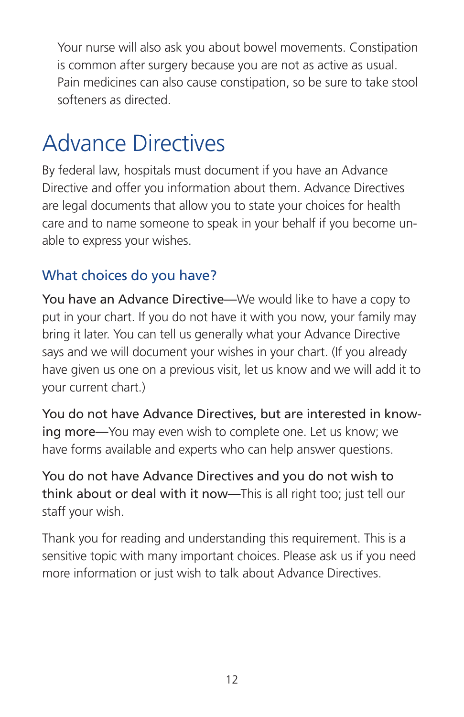Your nurse will also ask you about bowel movements. Constipation is common after surgery because you are not as active as usual. Pain medicines can also cause constipation, so be sure to take stool softeners as directed.

# Advance Directives

By federal law, hospitals must document if you have an Advance Directive and offer you information about them. Advance Directives are legal documents that allow you to state your choices for health care and to name someone to speak in your behalf if you become unable to express your wishes.

### What choices do you have?

You have an Advance Directive—We would like to have a copy to put in your chart. If you do not have it with you now, your family may bring it later. You can tell us generally what your Advance Directive says and we will document your wishes in your chart. (If you already have given us one on a previous visit, let us know and we will add it to your current chart.)

You do not have Advance Directives, but are interested in knowing more—You may even wish to complete one. Let us know; we have forms available and experts who can help answer questions.

You do not have Advance Directives and you do not wish to think about or deal with it now—This is all right too; just tell our staff your wish.

Thank you for reading and understanding this requirement. This is a sensitive topic with many important choices. Please ask us if you need more information or just wish to talk about Advance Directives.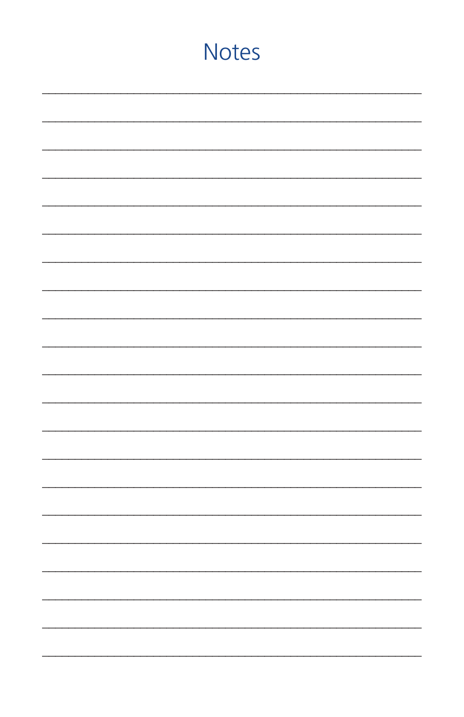# **Notes** ÷.